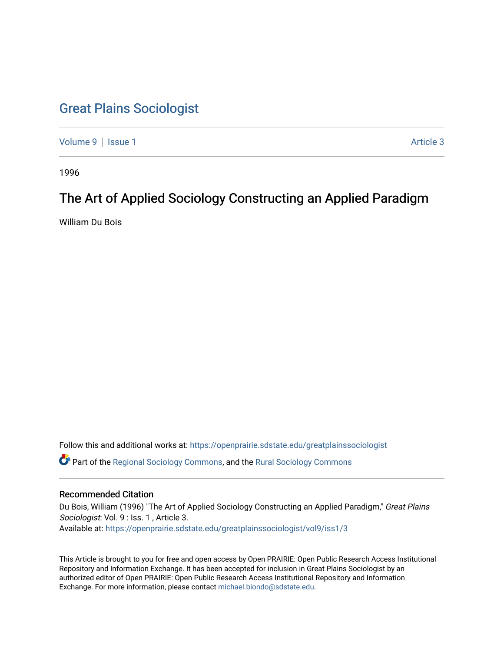# [Great Plains Sociologist](https://openprairie.sdstate.edu/greatplainssociologist)

[Volume 9](https://openprairie.sdstate.edu/greatplainssociologist/vol9) | [Issue 1](https://openprairie.sdstate.edu/greatplainssociologist/vol9/iss1) Article 3

1996

# The Art of Applied Sociology Constructing an Applied Paradigm

William Du Bois

Follow this and additional works at: [https://openprairie.sdstate.edu/greatplainssociologist](https://openprairie.sdstate.edu/greatplainssociologist?utm_source=openprairie.sdstate.edu%2Fgreatplainssociologist%2Fvol9%2Fiss1%2F3&utm_medium=PDF&utm_campaign=PDFCoverPages) 

Part of the [Regional Sociology Commons](http://network.bepress.com/hgg/discipline/427?utm_source=openprairie.sdstate.edu%2Fgreatplainssociologist%2Fvol9%2Fiss1%2F3&utm_medium=PDF&utm_campaign=PDFCoverPages), and the [Rural Sociology Commons](http://network.bepress.com/hgg/discipline/428?utm_source=openprairie.sdstate.edu%2Fgreatplainssociologist%2Fvol9%2Fiss1%2F3&utm_medium=PDF&utm_campaign=PDFCoverPages) 

### Recommended Citation

Du Bois, William (1996) "The Art of Applied Sociology Constructing an Applied Paradigm," Great Plains Sociologist: Vol. 9 : Iss. 1, Article 3. Available at: [https://openprairie.sdstate.edu/greatplainssociologist/vol9/iss1/3](https://openprairie.sdstate.edu/greatplainssociologist/vol9/iss1/3?utm_source=openprairie.sdstate.edu%2Fgreatplainssociologist%2Fvol9%2Fiss1%2F3&utm_medium=PDF&utm_campaign=PDFCoverPages) 

This Article is brought to you for free and open access by Open PRAIRIE: Open Public Research Access Institutional Repository and Information Exchange. It has been accepted for inclusion in Great Plains Sociologist by an authorized editor of Open PRAIRIE: Open Public Research Access Institutional Repository and Information Exchange. For more information, please contact [michael.biondo@sdstate.edu.](mailto:michael.biondo@sdstate.edu)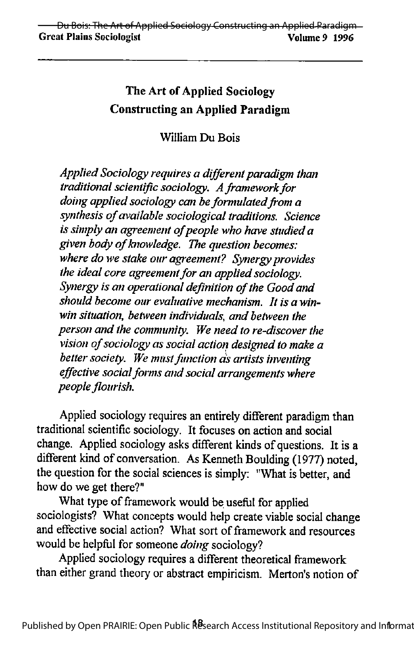# The Art of Applied Sociology Constructing an Applied Paradigm

William Du Bois

Applied Sociology requires a different paradigm than traditional scientific sociology. A framework for doing applied sociology can be formulated from a synthesis of available sociological traditions. Science is simply an agreement of people who have studied a given body of knowledge. The question becomes: where do we stake our agreement? Synergy provides the ideal core agreement for an applied sociology. Synergy is an operational definition of the Good and should become our evaluative mechanism. It is a winwin situation, between individuals, and between the person and the community. We need to re-discover the vision of sociology as social action designed to make a better society. We must function as artists inventing effective social forms and social arrangements where people flourish.

Applied sociology requires an entirely different paradigm than traditional scientific sociology. It focuses on action and social change. Applied sociology asks different kinds of questions. It is a different kind of conversation. As Kenneth Boulding (1977) noted, the question for the social sciences is simply: "What is better, and how do we get there?"

What type of framework would be useful for applied sociologists? What concepts would help create viable social change and effective social action? What sort of framework and resources would be helpful for someone doing sociology?

Applied sociology requires a different theoretical framework than either grand theory or abstract empiricism. Merton's notion of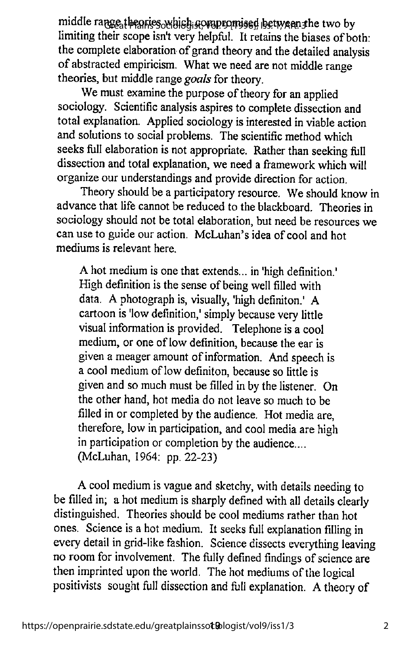middle range theories which governomised between the two by limiting their scope isn't very helpful. It retains the biases of both: the complete elaboration of grand theory and the detailed analysis of abstracted empiricism. What we need are not middle range theories, but middle range goals for theory.

We must examine the purpose of theory for an applied sociology. Scientific analysis aspires to complete dissection and total explanation. Applied sociology is interested in viable action and solutions to social problems. The scientific method which seeks full elaboration is not appropriate. Rather than seeking full dissection and total explanation, we need a framework which will organize our understandings and provide direction for action.

Theory should be a participatory resource. We should know in advance that life cannot be reduced to the blackboard. Theories in sociology should not be total elaboration, but need be resources we can use to guide our action. McLuhan's idea of cool and hot mediums is relevant here.

A hot medium is one that extends... in 'high definition.' High definition is the sense of being well filled with data. A photograph is, visually, 'high definiton.' A cartoon is'low definition,' simply because very little visual information is provided. Telephone is a cool medium, or one of low definition, because the ear is given a meager amount of information. And speech is a cool medium of low definiton, because so little is given and so much must be filled inbythe listener. On the other hand, hot media do not leave so much to be filled in or completed by the audience. Hot media are, therefore, low in participation, and cool media are high in participation or completion by the audience.... (McLuhan, 1964: pp. 22-23)

Acool medium is vague and sketchy, with details needing to be filled in; a hot medium is sharply defined with all details clearly distinguished. Theories should be cool mediums rather than hot ones. Science is a hot medium. It seeks full explanation filling in every detail in grid-like fashion. Science dissects everything leaving no room for involvement. The fully defined findings of science are then imprinted upon theworld. The hot mediums of the logical positivists sought full dissection and full explanation. Atheory of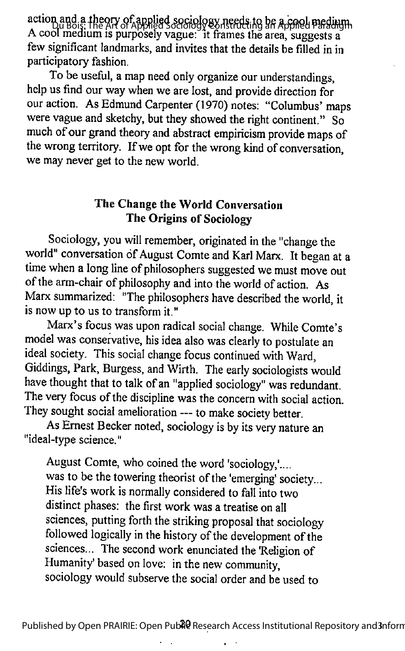action and a theory of applied sociology needs to be a conel medium. Acool medium is purposely vague: itframes the area, suggests a few significant landmarks, and invites that the details be filled in in participatory fashion.

To be useful, a map need only organize our understandings, help us find our way when we are lost, and provide direction for our action. As Edmund Carpenter (1970) notes: "Columbus' maps were vague and sketchy, but they showed the right continent." So much of our grand theory and abstract empiricism provide maps of the wrong territory. If we opt for the wrong kind of conversation, we may never get to the new world.

### The Change the World Conversation The Origins of Sociology

Sociology, you will remember, originated in the "change the world" conversation of August Comte and Karl Marx. It began at a time when a long line of philosophers suggested we must move out of the arm-chair of philosophy and into the world of action. As Marx summarized: "The philosophers have described the world, it is now up to us to transform it."

Marx's focus was upon radical social change. While Comte's model was conservative, his idea also was clearly to postulate an ideal society. This social change focus continued with Ward, Giddings, Park, Burgess, and Wirth. The early sociologists would have thought that to talk of an "applied sociology" was redundant. The very focus of the discipline was the concern with social action. They sought social amelioration --- to make society better.

As Ernest Becker noted, sociology is by its very nature an "ideal-type science."

August Comte, who coined the word 'sociology,'.... was to be the towering theorist of the 'emerging' society... Hislife's work is normally considered to fall into two distinct phases: the first work was a treatise on all sciences, putting forth the striking proposal that sociology followed logically in the history of the development of the sciences... The second work enunciated the 'Religion of Humanity' based on love: in the new community, sociology would subserve the social order and be used to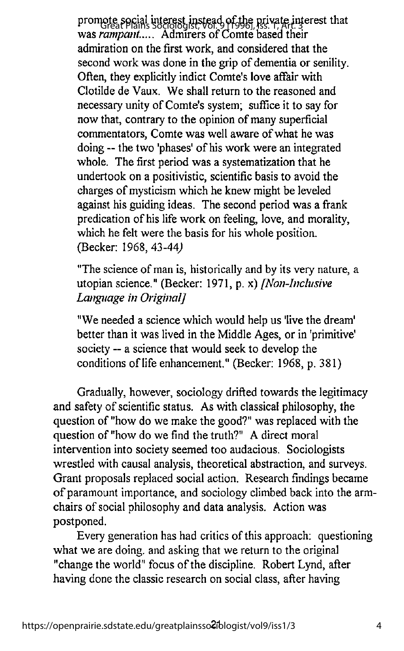promote social interest instead of the private interest that was rampant..... Admirers of Comte based their admiration on the first work, and considered that the second work was done in the grip of dementia or senility. Often, they explicitly indict Comte's love affair with Clotilde de Vaux. We shall return to the reasoned and necessary unity of Comte's system; suffice it to say for now that, contrary to the opinion of many superficial commentators, Comte was well aware of what he was doing -- the two 'phases' of his work were an integrated whole. The first period was a systematization that he undertook on a positivistic, scientific basis to avoid the charges of mysticism which he knew might be leveled against his guiding ideas. The second period was a frank predication of his life work on feeling, love, and morality, which he felt were the basis for his whole position. (Becker: 1968, 43-44J

"The science of man is, historically and by its very nature, a utopian science." (Becker: 1971, p. x) [Non-Inclusive Language in Original]

"We needed a science which would help us 'live the dream' better than it was lived in the Middle Ages, or in 'primitive' society -- a science that would seek to develop the conditions of life enhancement." (Becker: 1968, p. 381)

Gradually, however, sociology drifted towards the legitimacy and safety of scientific status. As with classical philosophy, the question of "how do we make the good?" was replaced with the question of "how do we find the truth?" A direct moral intervention into society seemed too audacious. Sociologists wrestled with causal analysis, theoretical abstraction, and surveys. Grant proposals replaced social action. Research findings became of paramount importance, and sociology climbed back into the arm chairs of social philosophy and data analysis. Action was postponed.

Every generation has had critics of this approach: questioning what we are doing, and asking that we return to the original "change the world" focus of the discipline. Robert Lynd, after having done the classic research on social class, after having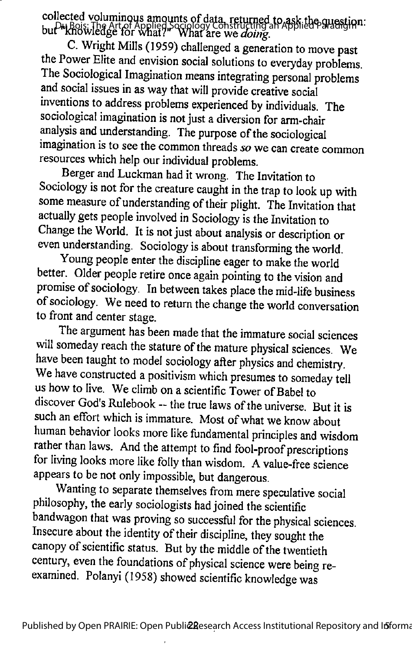collected voluminous amounts of data, returned to ask the question:<br><sub>bu </sub>Du Bois: The Art of Applied Sociology Constructing an Applied Paradigm: but "knowledge for what?" What are we doing.

C. Wright Mills (1959) challenged ageneration to move past the Power Elite and envision social solutions to everyday problems. The Sociological Imagination means integrating personal problems and social issues in as way that will provide creative social inventions to address problems experienced by individuals. The sociological imagination is not just a diversion for arm-chair analysis and understanding. The purpose of the sociological imagination is to see the common threads so we can create common resources which help our individual problems.

Berger and Luckman had itwrong. The Invitation to Sociology is not for the creature caught in the trap to look up with some measure of understanding of their plight. The Invitation that actually gets people involved in Sociology is the Invitation to Change the World. It is not just about analysis or description or even understanding. Sociology is about transforming the world.

Young people enter the discipline eager to make the world better. Older people retire once again pointing to the vision and promise of sociology. In between takes place the mid-life business of sociology. We need to return the change the world conversation to front and center stage.

The argument has been made that the immature social sciences will someday reach the stature of the mature physical sciences. We have been taught to model sociology after physics and chemistry. We have constructed a positivism which presumes to someday tell us how to live. We climb on a scientific Tower of Babel to discover God's Rulebook -- the true laws of the universe. But it is such an effort which is immature. Most of what we know about human behavior looks more like fundamental principles and wisdom rather than laws. And the attempt to find fool-proof prescriptions for living looks more like folly than wisdom. A value-free science appears to be not only impossible, but dangerous.

Wanting to separate themselves from mere speculative social philosophy, the early sociologists had joined the scientific bandwagon that was proving so successful for the physical sciences. Insecure about the identity of their discipline, they sought the canopy of scientific status. But by the middle of the twentieth century, even the foundations of physical science were being reexamined. Polanyi (1958) showed scientific knowledge was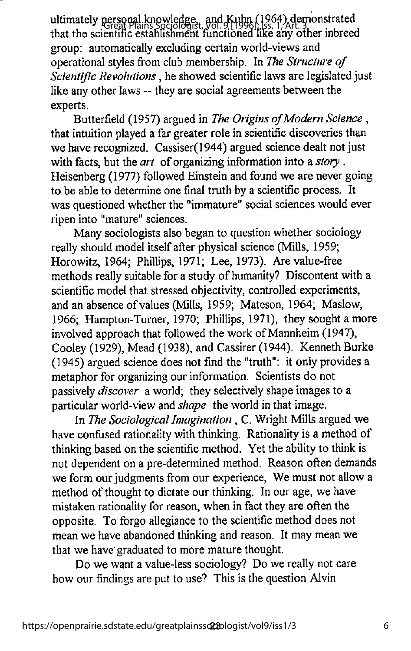ultimately personal knowledge, and Kuhn (1964) demonstrated Great Plains Sociologist, Vol. 9 [1996], Iss. 1, Art. 3 that the scientificestablishment functioned like any other inbreed group: automaticallyexcluding certain world-views and operational styles from club membership. In The Structure of Scientific Revolutions, he showed scientific laws are legislated just like any other laws -- they are social agreements between the experts.

Butterfield (1957) argued in The Origins of Modern Science, that intuition played a far greater role in scientific discoveries than we have recognized. Cassiser(1944) argued science dealt not just with facts, but the art of organizing information into a story. Heisenberg (1977) followed Einstein and found we are never going to be able to determine one final truth by a scientific process. It was questioned whether the "immature" social sciences would ever ripen into "mature" sciences.

Many sociologists also began to question whether sociology really should model itselfafter physical science (Mills, 1959; Horowitz, 1964; Phillips, 1971; Lee, 1973). Are value-free methods really suitable for a study of humanity? Discontent with a scientific model that stressed objectivity, controlled experiments, and an absence of values (Mills, 1959; Mateson, 1964; Maslow, 1966; Hampton-Turner, 1970; Phillips, 1971), they sought a more involved approach that followed the work of Mannheim (1947), Cooley (1929), Mead (1938), and Cassirer (1944). Kenneth Burke (1945) argued science does not find the "truth": it only provides a metaphor for organizing our information. Scientists do not passively discover a world; they selectively shape images to a particular world-view and *shape* the world in that image.

In The Sociological Imagination, C. Wright Mills argued we have confused rationality with thinking. Rationality is a method of thinking based on the scientific method. Yet the ability to think is not dependent on a pre-determined method. Reason often demands we form our judgments from our experience, We must not allow a method of thought to dictate our thinking. In our age, we have mistaken rationality for reason, when in fact they are often the opposite. To forgo allegiance to the scientific method does not mean we have abandoned thinking and reason. It may mean we that we have graduated to more mature thought.

Do we want a value-less sociology? Do we really not care how our findings are put to use? This is the question Alvin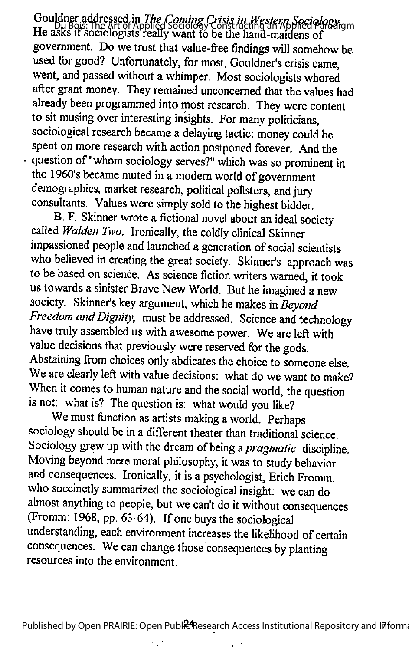Gouldner addressed in *The Coming Crisis in Western Sociology*.<br>11. "Du Bois: The Art of Applied Sociology Constructing an Applied Paradigm He asks if sociologists really want to be the hand-maidens of government. Do we trust that value-free findings will somehow be used for good? Unfortunately, for most, Gouldner's crisis came, went, and passed without a whimper. Most sociologists whored after grant money. They remained unconcerned that the values had already been programmed into most research. They were content to sit musing over interesting insights. For many politicians, sociological research became a delaying tactic; money could be spent on more research with action postponed forever. And the - question of "whom sociology serves?" which was so prominent in the 1960's became muted in a modern world of government demographics, market research, political pollsters, and jury consultants. Values were simply sold to the highest bidder.

B. F. Skinner wrote a fictional novel about an ideal society called Walden Two. Ironically, the coldly clinical Skinner impassioned people and launched a generation of social scientists who believed in creating the great society. Skinner's approach was to be based on science. As science fiction writers warned, it took us towards a sinister Brave New World. But he imagined a new society. Skinner's key argument, which he makes in Beyond Freedom and Dignity, must be addressed. Science and technology have truly assembled us with awesome power. We are left with value decisions that previously were reserved for the gods. Abstaining from choices only abdicates the choice to someone else. We are clearly left with value decisions: what do we want to make? When it comes to human nature and the social world, the question is not: what is? The question is: what would you like?

We must function as artists making a world. Perhaps sociology should be in a different theater than traditional science. Sociology grew up with the dream of being a *pragmatic* discipline. Moving beyond mere moral philosophy, itwas to study behavior and consequences. Ironically, it is a psychologist, Erich Fromm, who succinctly summarized the sociological insight: we can do almost anything to people, but we can't do it without consequences (Fromm: 1968, pp. 63-64). If one buys the sociological understanding, each environment increases the likelihood of certain consequences. We can change those consequences by planting resources into the environment.

 $\mathcal{L}_{\mathcal{A}}$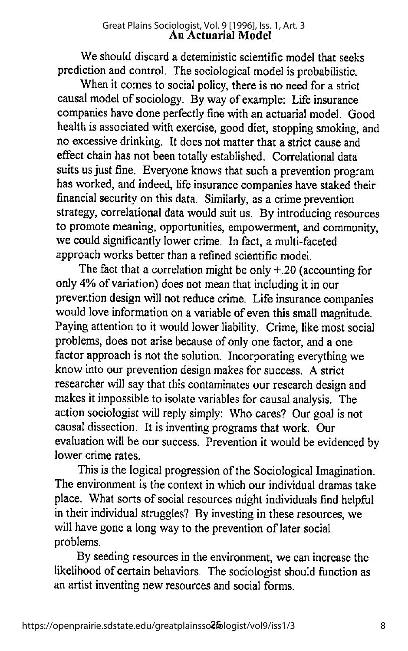We should discard a deteministic scientific model that seeks prediction and control. The sociological model is probabilistic.

When it comes to social policy, there is no need for a strict causal model of sociology. By way of example: Life insurance companies have done perfectly fine with an actuarial model. Good health is associated with exercise, good diet, stopping smoking, and no excessive drinking. It does not matter that a strict cause and effect chain has not been totally established. Correlational data suits us just fine. Everyone knows that such a prevention program has worked, and indeed, life insurance companies have staked their financial security on this data. Similarly, as a crime prevention strategy, correlational data would suit us. By introducing resources to promote meaning, opportunities, empowerment, and community, we could significantly lower crime. In fact, a multi-faceted approach works better than a refined scientific model.

The fact that a correlation might be only  $+$ .20 (accounting for only 4% of variation) does not mean that including it in our prevention design will not reduce crime. Life insurance companies would love information on a variable of even this small magnitude. Paying attention to it would lower liability. Crime, like most social problems, does not arise because of only one factor, and a one factor approach is not the solution. Incorporating everything we know into our prevention design makes for success. A strict researcher will say that this contaminates our research design and makes it impossible to isolate variables for causal analysis. The action sociologist will reply simply: Who cares? Our goal is not causal dissection. It is inventing programs that work. Our evaluation will be our success. Prevention it would be evidenced by lower crime rates.

This is the logical progression of the Sociological Imagination. The environment is the context in which our individual dramas take place. What sorts of social resources might individuals find helpful in their individual struggles? By investing in these resources, we will have gone a long way to the prevention of later social problems.

By seeding resources in the environment, we can increase the likelihood of certain behaviors. The sociologist should function as an artist inventing new resources and social forms.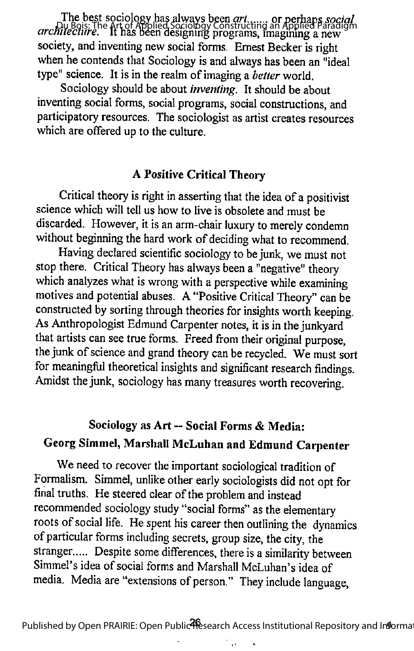The best sociology has always been *art* ...... or perhaps *social* Du Bois: The Art of Applied Sociology Constructing an Applied Paradigm<br>*architecture*. It has been designing programs, imagining a new society, and inventing new social forms. Ernest Becker is right when he contends that Sociology is and always has been an "ideal type" science. It is in the realm of imaging a better world.

Sociology should be about *inventing*. It should be about inventing social forms, social programs, social constructions, and participatory resources. The sociologist as artist creates resources which are offered up to the culture.

## A Positive Critical Theory

Critical theory is right in asserting that the idea of a positivist science which will tell us how to live is obsolete and must be discarded. However, it is an arm-chair luxury to merely condemn without beginning the hard work of deciding what to recommend.

Having declared scientific sociology to bejunk, we must not stop there. Critical Theory has always been a "negative" theory which analyzes what is wrong with a perspective while examining motives and potential abuses. A"Positive Critical Theory" can be constructed by sorting through theories for insights worth keeping. As Anthropologist Edmund Carpenter notes, it is in the junkyard that artists can see true forms. Freed from their original purpose, the junk of science and grand theory can be recycled. We must sort for meaningful theoretical insights and significant research findings. Amidst the junk, sociology has many treasures worth recovering.

# Sociology as Art -- Social Forms & Media: Georg Simmel, Marshall McLuhan and Edmund Carpenter

We need to recover the important sociological tradition of Formalism. Simmel, unlike other early sociologists did not opt for final truths. He steered clear of the problem and instead recommended sociology study "social forms" as the elementary roots of social life. He spent his career then outlining the dynamics of particular forms including secrets, group size, the city, the stranger..... Despite some differences, there is a similarity between Simmel's idea of social forms and Marshall McLuhan's idea of media. Media are "extensions of person." They include language,

j.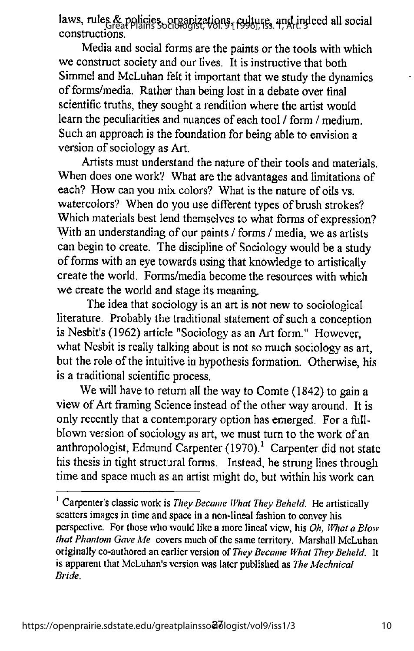laws, rules & policies, organizations, culture, and indeed all social constructions.

Media and social forms are the paints or the tools with which we construct society and our lives. It is instructive that both Simmel and McLuhan felt it important that we study the dynamics of forms/media. Rather than being lost in a debate over final scientific truths, they sought a rendition where the artist would learn the peculiarities and nuances of each tool / form / medium. Such an approach is the foundation for being able to envision a version of sociology as Art.

Artists must understand the nature of their tools and materials. When does one work? What are the advantages and limitations of each? How can you mix colors? What is the nature of oils vs. watercolors? When do you use different types of brush strokes? Which materials best lend themselves to what forms of expression? With an understanding of our paints / forms / media, we as artists can begin to create. The discipline of Sociology would be a study of forms with an eye towards using that knowledge to artistically create the world. Forms/media become the resources with which we create the world and stage its meaning.

The idea that sociology is an art is not new to sociological literature. Probably the traditional statement of such a conception is Nesbit's (1962) article "Sociology as an Art form." However, what Nesbit is really talking about is not so much sociology as art, but the role of the intuitive in hypothesis formation. Otherwise, his is a traditional scientific process.

We will have to return all the way to Comte (1842) to gain a view of Art framing Science instead of the other way around. It is only recently that a contemporary option has emerged. For a full blown version of sociology as art, we must turn to the work of an anthropologist, Edmund Carpenter  $(1970)$ <sup>1</sup> Carpenter did not state his thesis in tight structural forms. Instead, he strung lines through time and space much as an artist might do, but within his work can

<sup>&</sup>lt;sup>1</sup> Carpenter's classic work is They Became What They Beheld. He artistically scatters images in time and space in a non-lineal fashion to convey his perspective. For those who would like a more lineal view, his Oh, What a Blow that Phantom Gave Me covers much of the same territory. Marshall McLuhan originally co-authored an earlier version of They Became What They Beheld. It is apparent that McLuhan's version was later published as The Mechnical Bride.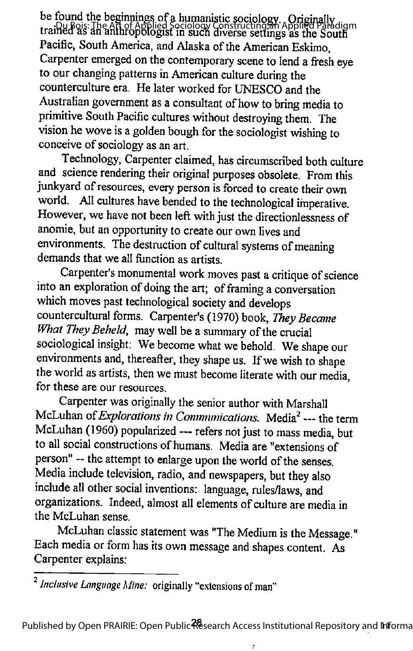be found the beginnings of a humanistic sociology. Originally trained as an anthropologist in such diverse settings as the South Du Bois: The Art of Applied Sociology Constructing an Applied Paradigm Pacific, South America, and Alaska of the American Eskimo, Carpenter emerged on the contemporary scene tolend a fresh eye to our changing patterns in American culture during the counterculture era. He later worked for UNESCO and the Australian government as a consultant of how to bring media to primitive South Pacific cultures without destroying them. The vision he wove is agolden bough for the sociologist wishing to conceive of sociology as an art.

Technology, Carpenter claimed, has circumscribed both culture and science rendering their original purposes obsolete. From this junkyard of resources, every person is forced to create their own world. All cultures have bended to the technological imperative. However, we have not been left with just the directionlessness of anomie, but an opportunity to create our own lives and environments. The destruction of cultural systems of meaning demands that we all function as artists.

Carpenter's monumental work moves past a critique of science into an exploration of doing the  $art$ ; of framing a conversation which moves past technological society and develops countercultural forms. Carpenter's (1970) book, They Became What They Beheld, may well be a summary of the crucial sociological insight; We become what we behold. We shape our environments and, thereafter, they shape us. If we wish to shape the world as artists, then we must become literate with our media, for these are our resources.

Carpenter was originally the senior author with Marshall McLuhan of Explorations in Communications. Media<sup>2</sup> --- the term McLuhan (1960) popularized --- refers not just to mass media, but to all social constructions of humans. Media are "extensions of person" -- the attempt to enlarge upon the world of the senses. Media include television, radio, and newspapers, but they also include all other social inventions: language, rules/laws, and organizations. Indeed, almost all elements of culture are media in the McLuhan sense.

McLuhan classic statement was "The Medium is the Message." Each media or form has its own message and shapes content. As Carpenter explains:

 $<sup>2</sup>$  Inclusive Language Mine: originally "extensions of man"</sup>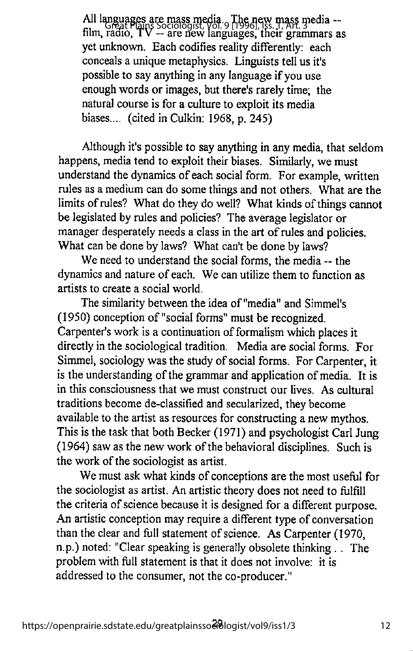All languages are mass media. The new mass media — **Film Great Plains Sociologist, Vol. 9 [1996], ISS. 1, ART. 3. Collul --**<br>film, radio, TV -- are new languages, their grammars as yet unknown. Each codifies reality differently: each conceals a unique metaphysics. Linguists tell us it's possible to say anything in any language if you use enough words or images, but there's rarely time; the natural course is for a culture to exploit its media biases.... (cited in Culkin: 1968, p. 245)

Although it's possible to say anything in any media, that seldom happens, media tend to exploit their biases. Similarly, we must understand the dynamics of each social form. For example, written rules as a medium can do some things and not others. What are the limits of rules? What do they do well? What kinds of things cannot be legislated by rules and policies? The average legislator or manager desperately needs a class in the art of rules and policies. What can be done by laws? What can't be done by laws?

We need to understand the social forms, the media -- the dynamics and nature of each. We can utilize them to function as artists to create a social world.

The similarity between the idea of "media" and Simmel's (1950) conception of "social forms" must be recognized. Carpenter's work is a continuation of formalism which places it directly in the sociological tradition. Media are social forms. For Simmel, sociology was the studyof social forms. For Carpenter, it is the understanding of the grammar and application of media. It is in this consciousness that we must construct our lives. As cultural traditions become de-classified and secularized, they become available to the artist as resources for constructing a new mythos. This is the task that both Becker (1971) and psychologist Carl Jung (1964) sawas the new work of the behavioral disciplines. Such is the work of the sociologist as artist.

We must ask what kinds of conceptions are the most useful for the sociologist as artist. An artistic theory does not need to fulfill the criteria of science because it is designed for a different purpose. An artistic conception may require a different type of conversation than the clear and full statement of science. As Carpenter (1970, n.p.) noted: "Clear speaking is generally obsolete thinking . . The problem with full statement is that it does not involve: it is addressed to the consumer, not the co-producer."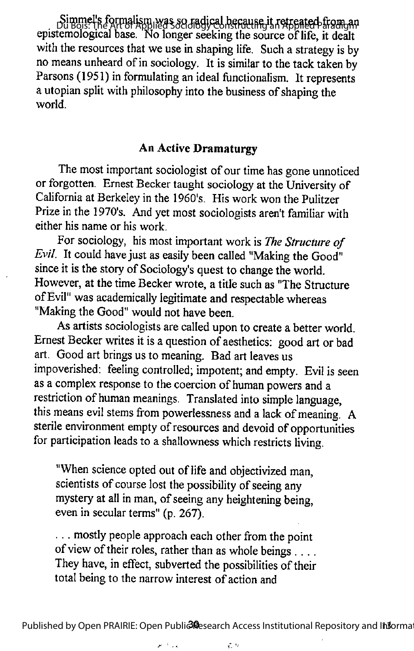Simmel's formalism was so radical because it retreated from an Du Bois: The Art of Applied Sociology Constructing an Applied Paradigm epistemological base. No longer seeking the source of life, it dealt with the resources that we use in shaping life. Such a strategy is by no means unheard of in sociology. It is similar to the tack taken by Parsons (1951) in formulating an ideal functionalism. It represents a utopian split with philosophy into the business of shaping the world.

### An Active Dramaturgy

The most important sociologist of our time has gone unnoticed or forgotten. Ernest Becker taught sociology at the University of California at Berkeley in the 1960's. His work won the Pulitzer Prize in the 1970's. And yet most sociologists aren't familiar with either his name or his work.

For sociology, his most important work is The Structure of Evil. It could have just as easily been called "Making the Good" since it is the story of Sociology's quest to change the world. However, at the time Becker wrote, a title such as "The Structure ofEvil" was academically legitimate and respectable whereas "Making the Good" would not have been.

As artists sociologists are called upon to create a better world. Ernest Becker writes it is a question of aesthetics: good art or bad art. Good art brings us to meaning. Bad art leaves us impoverished: feeling controlled; impotent; and empty. Evil is seen as a complex response to the coercion of human powers and a restriction of human meanings. Translated into simple language, this means evil stems from powerlessness and a lack of meaning. A sterile environment empty of resources and devoid of opportunities for participation leads to a shallowness which restricts living.

"When science opted out of life and objectivized man, scientists of course lost the possibility of seeing any mystery at all in man, of seeing any heightening being, even in secular terms" (p. 267).

. . . mostly people approach each other from the point of view of their roles, rather than as whole beings  $\dots$ . They have, in effect, subverted the possibilities of their total being to the narrow interest of action and

Published by Open PRAIRIE: Open Publie Research Access Institutional Repository and Informat

 $\sqrt{1}$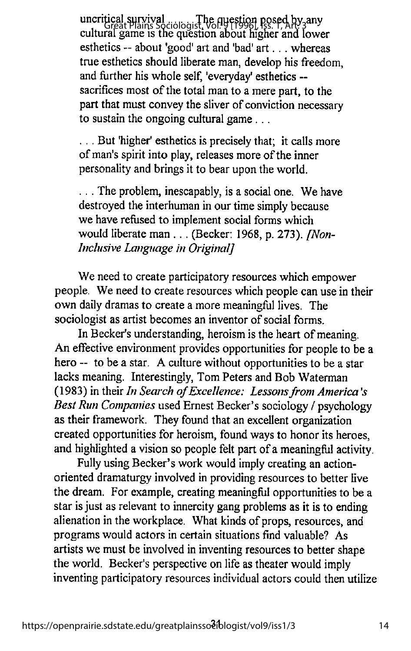uncritical survival  $\Gamma$ he question posed by any and i Great Plains Sociologist, Vol. 9 [1996], Iss. 1, AR. 3<sup>411</sup>y<br>cultural game is the question about higher and lower esthetics -- about 'good' art and 'bad' art... whereas true esthetics should liberate man, develop his freedom, and further his whole self, 'everyday' esthetics sacrifices most of the total man to a mere part, to the part that must convey the sliver of conviction necessary to sustain the ongoing cultural game ...

... But 'higher' esthetics is precisely that; it calls more of man's spirit into play, releases more of the inner personality and brings it to bear upon the world.

. . . The problem, inescapably, is a social one. We have destroyed the interhuman in our time simply because we have refused to implement social forms which would liberate man . . . (Becker: 1968, p. 273). [Non-Inclusive Language in Original]

We need to create participatory resources which empower people. We need to create resources which people can use in their own daily dramas to create a more meaningful lives. The sociologist as artist becomes an inventor of social forms.

In Becker's understanding, heroism is the heart of meaning. An effective environment provides opportunities for people to be a hero -- to be a star. A culture without opportunities to be a star lacks meaning. Interestingly, Tom Peters and Bob Waterman (1983) in their  $In$  Search of Excellence: Lessons from America's Best Run Companies used Ernest Becker's sociology / psychology as their framework. They found that an excellent organization created opportunities for heroism, found ways to honor its heroes, and highlighted a vision so people felt part of a meaningful activity.

Fully using Becker's work would imply creating an actionoriented dramaturgy involved in providing resources to better live the dream. For example, creating meaningful opportunities to be a star is just as relevant to innercity gang problems as it is to ending alienation in the workplace. What kinds of props, resources, and programs would actors in certain situations find valuable? As artists we must be involved in inventing resources to better shape the world. Becker's perspective on life as theater would imply inventing participatory resources individual actors could then utilize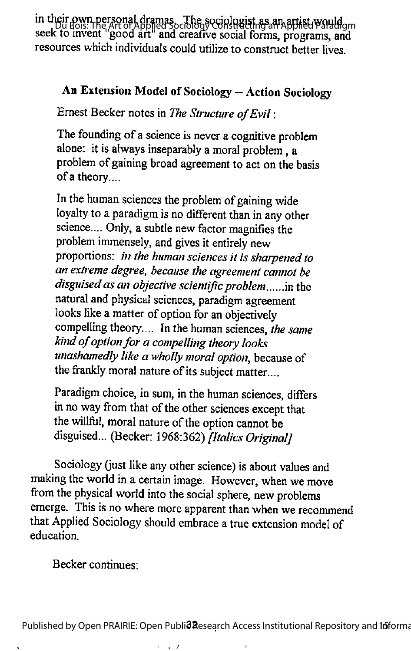in their own personal dramas. The sociologist as an applied would gm seek toinvent "good art" and creative social forms, programs, and resources which individuals could utilize to construct better lives.

## An Extension Model of Sociology -- Action Sociology

Ernest Becker notes in The Structure of Evil:

The founding of a science is never a cognitive problem alone; it is always inseparably a moral problem , a problem of gaining broad agreement to act on the basis of a theory....

In the human sciences the problem of gaining wide loyalty to a paradigm is no different than in any other science.... Only, a subtle new factor magnifies the problem immensely, and gives it entirely new proportions: in the human sciences it is sharpened to an extreme degree, because the agreement cannot be disguised as an objective scientific problem ...... in the natural and physical sciences, paradigm agreement looks like a matter of option for an objectively compelling theory.... In the human sciences, the same kind of option for a compelling theory looks unashamedly like a wholly moral option, because of the frankly moral nature of its subject matter....

Paradigm choice, in sum, inthe human sciences, differs in no way from that of the other sciences except that the willful, moral nature of the option cannot be disguised... (Becker: 1968:362) [Italics Original]

Sociology (just like any other science) is about values and making the world in a certain image. However, when we move from the physical world into the social sphere, new problems emerge. This is no where more apparent than when we recommend that Applied Sociology should embrace a true extension model of education.

Becker continues: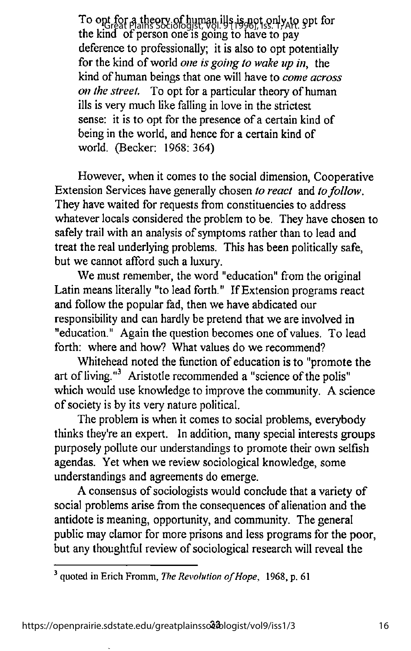To opt for a theory of human ills is not only to opt for the kind of person one is going to have to pay deference to professionally; it is also to opt potentially for the kind of world one is going to wake up in, the kind of human beings that one will have to come across on the street. To opt for a particular theory of human ills is very much like falling in love in the strictest sense: it is to opt for the presence of a certain kind of being in the world, and hence for a certain kind of world. (Becker: 1968:364)

However, when it comes to the social dimension, Cooperative Extension Services have generally chosen to react and to follow. They have waited for requests from constituencies to address whatever locals considered the problem to be. They have chosen to safely trail with an analysis of symptoms rather than to lead and treat the real underlying problems. This has been politically safe, but we cannot afford such a luxury.

We must remember, the word "education" from the original Latin means literally "to lead forth." If Extension programs react and follow the popular fad, then we have abdicated our responsibility and can hardly be pretend that we are involved in "education." Again the question becomes one of values. To lead forth: where and how? What values do we recommend?

Whitehead noted the function of education is to "promote the art of living."<sup>3</sup> Aristotle recommended a "science of the polis" which would use knowledge to improve the community. A science of society is by its very nature political.

The problem is when it comes to social problems, everybody thinks they're an expert. In addition, many special interests groups purposely pollute our understandings to promote their own selfish agendas. Yet when we review sociological knowledge, some understandings and agreements do emerge.

A consensus of sociologists would conclude that a variety of social problems arise from the consequences of alienation and the antidote is meaning, opportunity, and community. The general public may clamor for more prisons and less programs for the poor, but any thoughtful review of sociological research will reveal the

 $3$  auoted in Erich Fromm, The Revolution of Hope, 1968, p. 61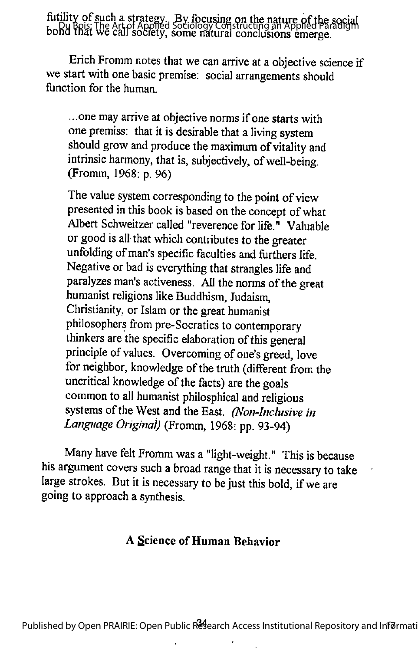futility of such a strategy. By focusing on the nature of the social bond that we call society, some natural conclusions emerge. Du Bois: The Art of Applied Sociology Constructing an Applied Paradigm

Erich Fromm notes that we can arrive at a objective science if we start with one basic premise: social arrangements should function for the human.

...one may arrive at objective norms if one starts with one premiss: that it is desirable that a living system should grow and produce the maximum of vitality and intrinsic harmony, that is, subjectively, of well-being. (Fromm, 1968: p. 96)

The value system corresponding to the point of view presented in this book is based on the concept of what Albert Schweitzer called "reverence for life." Valuable or good is all' that which contributes to the greater unfolding of man's specific faculties and furthers life. Negative or bad is everything that strangles life and paralyzes man's activeness. All the norms of the great humanist religions like Buddhism. Judaism, Christianity, or Islam or the great humanist philosophers from pre-Socratics to contemporary thinkers are the specific elaboration of this general principle of values. Overcoming of one's greed, love for neighbor, knowledge of the truth (different from the uncritical knowledge of the facts) are the goals common to all humanist philosphical and religious systems of the West and the East. (Non-Inclusive in Language Original) (Fromm. 1968: pp. 93-94)

Many have felt Fromm was a "light-weight." This is because his argument covers such a broad range that it is necessary to take large strokes. But it is necessary to be just this bold, if we are going to approach a synthesis.

### A Science of Human Behavior

ï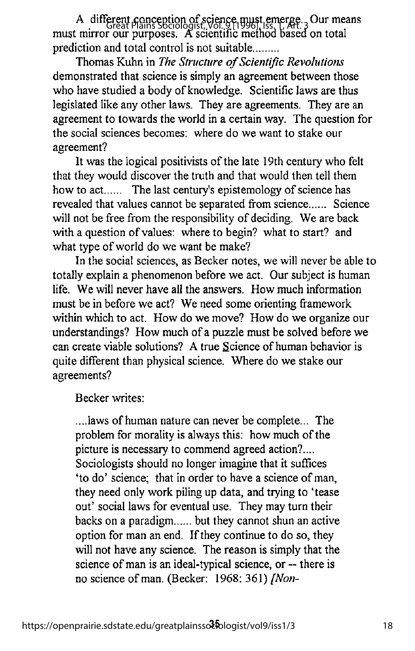A different conception of science must emerge. Our means must eart plains Sociologist, Vol. 9 [1996], Iss. 1, Art. 3 Our method based on total<br>must mirror our purposes. A scientific method based on total prediction and total control is not suitable

Thomas Kuhn in The Structure of Scientific Revolutions demonstrated that science is simply an agreement between those who have studied a body of knowledge. Scientific laws are thus legislated like any other laws. They are agreements. They are an agreement to towards the world in a certain way. The question for the social sciences becomes: where do we want to stake our agreement?

It was the logical positivists of the late 19th century who felt that they would discover the truth and that would then tell them how to act...... The last century's epistemology of science has revealed that values cannot be separated from science...... Science will not be free from the responsibility of deciding. We are back with a question of values: where to begin? what to start? and what type of world do we want be make?

In the social sciences, as Becker notes, we will never be able to totally explain a phenomenon before we act. Our subject is human life. We will never have all the answers. How much information must be in before we act? We need some orienting framework within which to act. How do we move? How do we organize our understandings? How much of a puzzle must be solved before we can create viable solutions? A true Science of human behavior is quite different than physical science. Where do we stake our agreements?

Becker writes:

....laws of human nature can never be complete... The problem for morality is always this: how much of the picture is necessary to commend agreed action?.... Sociologists should no longer imagine that it suffices 'to do' science; that in order to have a science of man, they need only work piling up data, and trying to 'tease out' social laws for eventual use. They may turn their backs on a paradigm...... but they cannot shun an active option for man an end. If they continue to do so, they will not have any science. The reason is simply that the science of man is an ideal-typical science, or -- there is no science of man. (Becker: 1968: 361) [Non-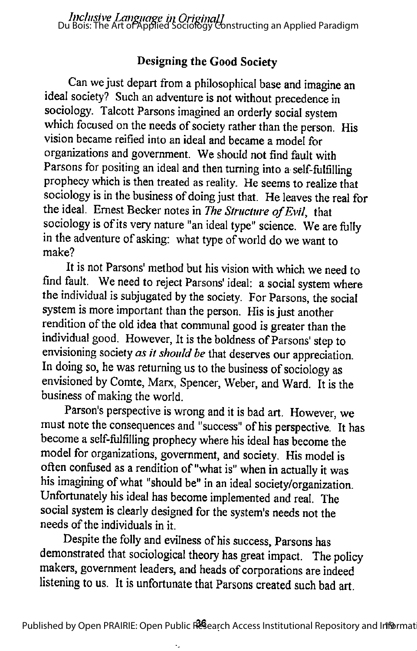### Designing the Good Society

Can we just depart from a philosophical base and imagine an ideal society? Such an adventure is not without precedence in sociology. Talcott Parsons imagined an orderly social system which focused on the needs of society rather than the person. His vision became reified into an ideal and became a model for organizations and government. We should not find fault with Parsons for positing an ideal and then turning into a self-fulfilling prophecy which is then treated as reality. He seems to realize that sociology is in the business of doing just that. He leaves the real for the ideal. Ernest Becker notes in The Structure of Evil, that sociology is of its very nature "an ideal type" science. We are fully in the adventure of asking: what type of world do we want to make?

It is not Parsons' method but his vision with which we need to find fault. We need to reject Parsons' ideal: a social system where the individual is subjugated by the society. For Parsons, the social system is more important than the person. His is just another rendition of the old idea that communal good is greater than the individual good. However, It is the boldness of Parsons' step to envisioning society as it should be that deserves our appreciation. In doing so, he was returning us to the business of sociology as envisioned by Comte, Marx, Spencer, Weber, and Ward. It is the business of making the world.

Parson's perspective is wrong and it is bad art. However, we must note the consequences and "success" of his perspective. It has become a self-fulfilling prophecy where his ideal has become the model for organizations, government, and society. His model is often confused as a rendition of "what is" when in actually it was his imagining of what "should be" in an ideal society/organization. Unfortunately his ideal has become implemented and real. The social system is clearly designed for the system's needs not the needs of the individuals in it.

Despite the folly and evilness of his success. Parsons has demonstrated that sociological theory has great impact. The policy makers, government leaders, and heads of corporations are indeed listening to us. It is unfortunate that Parsons created such bad art.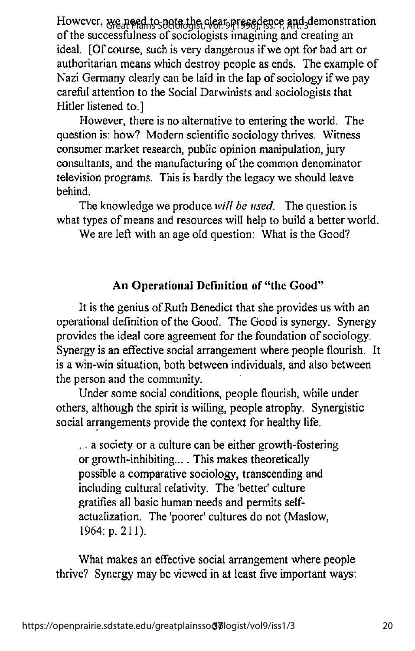However, we need to note the clear presedence and demonstration ofthe successfulness ofsociologists imaginingand creating an ideal. [Of course, such is very dangerous if we opt for bad art or authoritarian means which destroy people as ends. The example of Nazi Germany clearly can be laid in the lap of sociology if we pay careful attention to the Social Darwinists and sociologists that Hitler listened to.]

However, there is no alternative to entering the world. The question is: how? Modern scientific sociology thrives. Witness consumer market research, public opinion manipulation, jury consultants, and the manufacturing of the common denominator television programs. This is hardly the legacy we should leave behind.

The knowledge we produce will be used. The question is what types of means and resources will help to build a better world.

We are left with an age old question: What is the Good?

## An Operational Definition of "the Good^^

It is the genius of Ruth Benedict that she provides us with an operational definition of the Good. The Good is synergy. Synergy provides the ideal core agreement for the foundation of sociology. Synergy is an effective social arrangement where people flourish. It is a win-win situation, both between individuals, and also between the person and the community.

Under some social conditions, people flourish, while under others, although the spirit is willing, people atrophy. Synergistic social arrangements provide the context for healthy life.

... a society or a culture can be either growth-fostering or growth-inhibiting.... This makes theoretically possible a comparative sociology, transcending and including cultural relativity. The 'better' culture gratifies all basic human needs and permits selfactualization. The 'poorer' cultures do not (Maslow, 1964: p. 211).

What makes an effective social arrangement where people thrive? Synergy may be viewed in at least five important ways: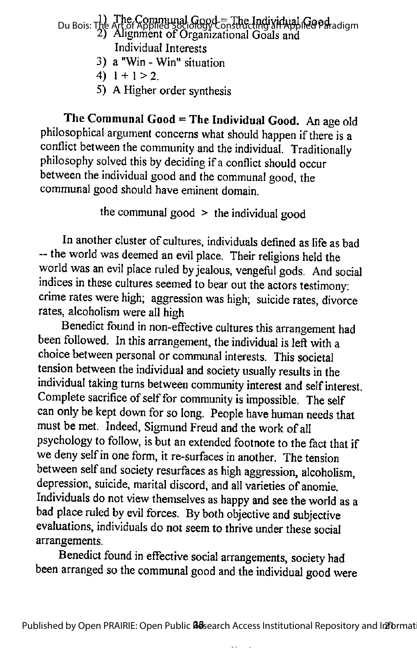## 1)  $\Gamma$ he Communal Good = The Individual Good Du Bois: The Art of Applied Sociology Constructing all Applied Paradigm<br>2) Alignment of Organizational Goals and Individual Interests

- 3) a "Win Win" situation
- 4)  $1 + 1 > 2$ .
- 5) A Higher order synthesis

The Communal Good = The Individual Good. An age old philosophical argument concerns what should happen if there is a conflict between the community and the individual. Traditionally philosophy solved this by deciding ifa conflict should occur between the individual good and the communal good, the communal good should have eminent domain.

the communal good  $>$  the individual good

In another cluster of cultures, individuals defined as life as bad ~ the world was deemed an evil place. Their religions held the world was an evil place ruled by jealous, vengeful gods. And social indices in these cultures seemed to bear out the actors testimony; crime rates were high; aggression was high; suicide rates, divorce rates, alcoholism were all high

Benedict found in non-effective cultures this arrangement had been followed. In this arrangement, the individual is left with a choice between personal or communal interests. This societal tension between the individual and society usually results in the individual taking turns between community interest and selfinterest. Complete sacrifice of self for community is impossible. The self can only be kept down for so long. People have human needs that must be met. Indeed, Sigmund Freud and the work of all psychology to follow, is but anextended footnote to the fact that if we deny selfin one form, it re-surfaces in another. The tension between self and society resurfaces as high aggression, alcoholism, depression, suicide, marital discord, and all varieties of anomie. Individuals do not view themselves as happy and see theworld as a bad place ruled by evil forces. By both objective and subjective evaluations, individuals do not seem to thrive under these social arrangements.

Benedict found in effective social arrangements, society had been arranged so the communal good and the individual good were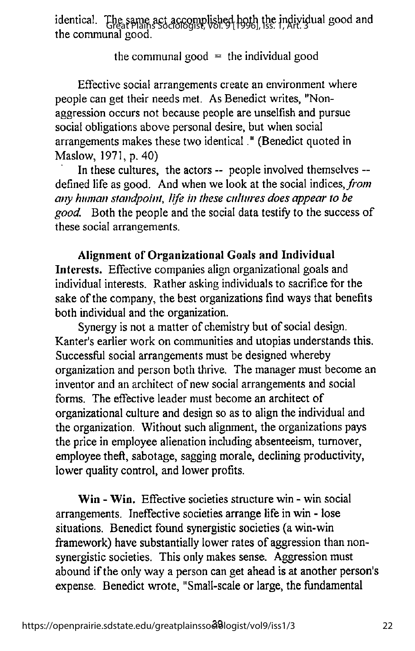identical. The same act accomplished both the individual good and Great Plains Sociologist, Vol. 9 [1996], Iss. 1, Art. 3 the communal good.

the communal good  $=$  the individual good

Effective social arrangements create an environment where people can get their needs met. As Benedict writes, "Nonaggression occurs not because people are unselfish and pursue social obligations above personal desire, but when social arrangements makes these two identical." (Benedict quoted in Maslow, 1971, p. 40)

In these cultures, the actors -- people involved themselves -defined life as good. And when we look at the social indices, from any human standpoint, life in these cultures does appear to be good. Both the people and the social data testify to the success of these social arrangements.

Alignment of Organizational Goals and Individual Interests. Effective companies align organizational goals and individual interests. Rather asking individuals to sacrifice for the sake of the company, the best organizations find ways that benefits both individual and the organization.

Synergy is not a matter of chemistry but of social design. Kanter's earlier work on communities and utopias understands this. Successful social arrangements must be designed whereby organization and person both thrive. The manager must become an inventor and an architect of new social arrangements and social forms. The effective leader must become an architect of organizational culture and design so as to align the individual and the organization. Without such alignment, the organizations pays the price in employee alienation including absenteeism, turnover, employee theft, sabotage, sagging morale, declining productivity, lower quality control, and lower profits.

Win - Win. Effective societies structure win - win social arrangements. Ineffective societies arrange life in win - lose situations. Benedict found synergistic societies (a win-win framework) have substantially lower rates of aggression than nonsynergistic societies. This only makes sense. Aggression must abound if the onlyway a person can get ahead is at another person's expense. Benedict wrote, "Small-scale or large, the fundamental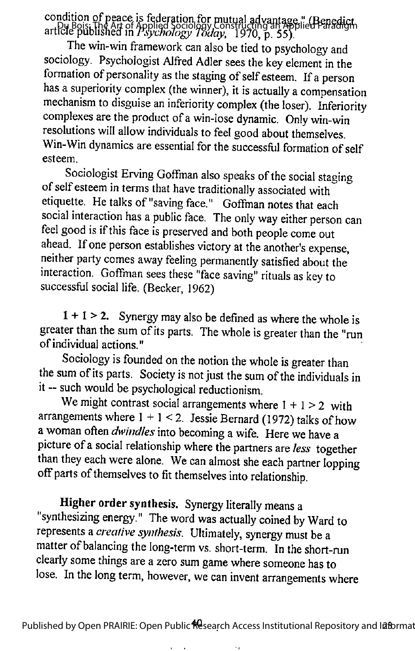condition of peace is federation for mutual advantage." (Benedict pu Bois: The Art of Applied Sociology Constructing an Applied Paradigm<br>article published in *Psychology Today*, 1970, p. 55).

The win-win framework can also be tied to psychology and sociology. Psychologist Alfred Adler sees the key element in the formation of personality as the staging of self esteem. If a person has a superiority complex (the winner), it is actually a compensation mechanism to disguise an inferiority complex (the loser). Inferiority complexes are the product of a win-lose dynamic. Only win-win resolutions will allow individuals to feel good about themselves. Win-Win dynamics are essential for the successftil formation of self esteem.

Sociologist Erving Goffman also speaks of the social staging of self esteem in terms that have traditionally associated with etiquette. He talks of "saving face." Goffman notes that each social interaction has a public face. The only way either person can feel good is ifthis face is preserved and both people come out ahead. If one person establishes victory at the another's expense, neither party comes away feeling permanently satisfied about the' interaction. Goffman sees these "face saving" rituals as key to successful social life. (Becker, 1962)

 $1 + 1 > 2$ . Synergy may also be defined as where the whole is greater than the sum of its parts. The whole is greater than the "run of individual actions."

Sociology is founded on the notion the whole is greater than the sum of its parts. Society is not just the sum of the individuals in it -- such would be psychological reductionism.

We might contrast social arrangements where  $1 + 1 > 2$  with arrangements where  $1 + 1 < 2$ . Jessie Bernard (1972) talks of how a woman offen dwindles into becoming a wife. Here we have a picture of a social relationship where the partners are less together than they each were alone. We can almost she each partner lopping off parts of themselves to fit themselves into relationship.

Higher order synthesis. Synergy literally means a "synthesizing energy." The word was actually coined by Ward to represents a creative synthesis. Ultimately, synergy must be a matter of balancing the long-term vs. short-term. In the short-run clearly some things are a zero sum game where someone has to lose. In the long term, however, we can invent arrangements where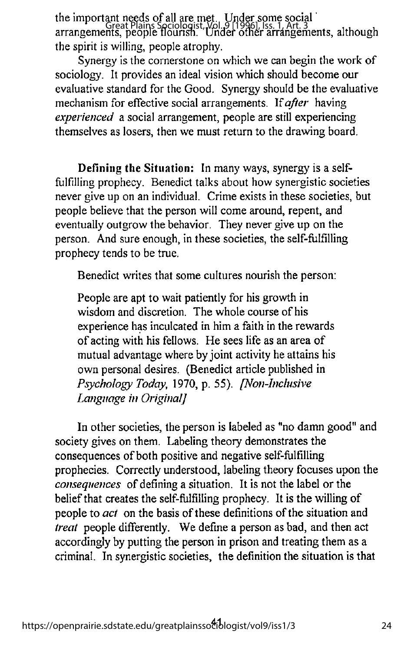the important needs of all are met. Under some social" arrangements, people flourish. Under other arrangements, although Great Plains Sociologist, Vol. 9 [1996], Iss. 1, Art. 3 the spirit is willing, people atrophy.

Synergy is the cornerstone on which we can begin the work of sociology. It provides an ideal vision which should become our evaluative standard for the Good. Synergy should be the evaluative mechanism for effective social arrangements. If after having experienced a social arrangement, people are still experiencing themselves as losers, then we must return to the drawing board.

Defining the Situation: In many ways, synergy is a selffulfilling prophecy. Benedict talks about how synergistic societies never give up on an individual. Crime exists in these societies, but people believe that the person will come around, repent, and eventually outgrow the behavior. They never give up on the person. And sure enough, in these societies, the self-fulfilling prophecy tends to be true.

Benedict writes that some cultures nourish the person:

People are apt to wait patiently for his growth in wisdom and discretion. The whole course of his experience has inculcated in him a faith in the rewards of acting with his fellows. He sees life as an area of mutual advantage where by joint activity he attains his own personal desires. (Benedict article published in Psychology Today, 1970, p. 55). [Non-Inclusive Language in Original]

In other societies, the person is labeled as "no damn good" and society gives on them. Labeling theory demonstrates the consequences of both positive and negative self-fulfilling prophecies. Correctly understood, labeling theory focuses upon the consequences of defining a situation. It is not the label or the belief that creates the self-fulfilling prophecy. It is the willing of people to *act* on the basis of these definitions of the situation and treat people differently. We define a person as bad, and then act accordingly by putting the person in prison and treating them as a criminal. In synergistic societies, the definition the situation is that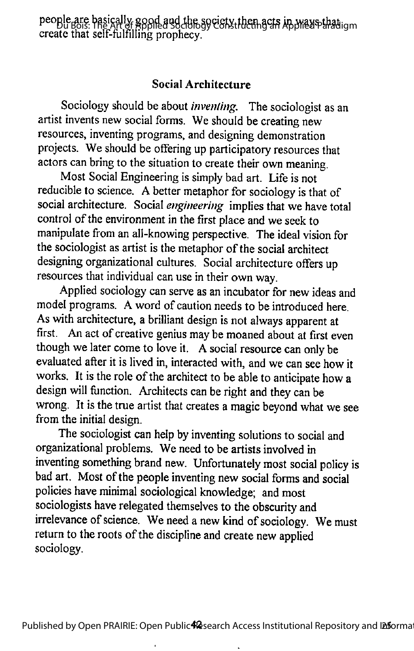people are basically good and the society them acts in ways that igm create that self-fulfilling prophecy.

#### Social Architecture

Sociology should be about *inventing*. The sociologist as an artist invents new social forms. We should be creating new resources, inventing programs, and designing demonstration projects. We should be offering up participatory resources that actors can bring to the situation to create their own meaning.

Most Social Engineering is simply bad art. Life is not reducible to science. A better metaphor for sociology is that of social architecture. Social engineering implies that we have total control of the environment in the first place and we seek to manipulate from an all-knowing perspective. The ideal vision for the sociologist as artist is the metaphor of the social architect designing organizational cultures. Social architecture offers up resources that individual can use in their own way.

Applied sociology can serve as an incubator for new ideas and model programs. A word of caution needs to be introduced here. As with architecture, a brilliant design is not always apparent at first. An act of creative genius may be moaned about at first even though we later come to love it. A social resource can only be evaluated after it is lived in, interacted with, and we can see how it works. It is the role of the architect to be able to anticipate how a design will function. Architects can be right and they can be wrong. It is the true artist that creates a magic beyond what we see from the initial design.

The sociologist can help by inventing solutions to social and organizational problems. We need to be artists involved in inventing something brand new. Unfortunately most social policy is bad art. Most of the people inventing new social forms and social policies have minimal sociological knowledge; and most sociologists have relegated themselves to the obscurity and irrelevance of science. We need a new kind of sociology. We must return to the roots of the discipline and create new applied sociology.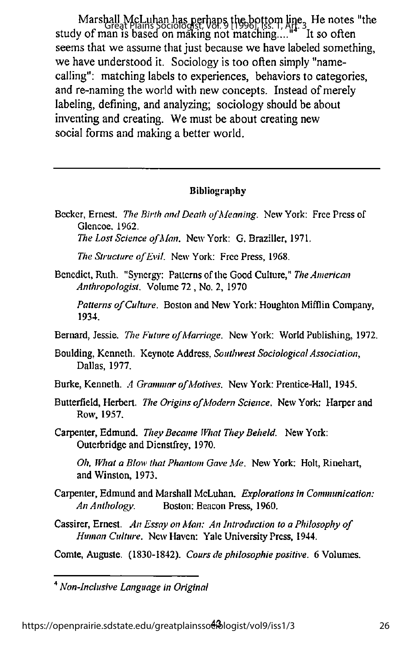Marshall McLuhan has perhaps the bottom line 3 He notes "the<br>Creat Plains Sociologist, Vol. 9 [1996], Iss. 1, Art. 3 study of man is based onmaking not matching...."'' It so often seems that we assume that just because we have labeled something, we have understood it. Sociology is too often simply "namecalling": matching labels to experiences, behaviors to categories, and re-naming the world with new concepts. Instead of merely labeling, defining, and analyzing; sociology should be about inventing and creating. We must be about creating new social forms and making a better world.

#### Bibliography

Becker, Ernest. The Birth and Death of Meaning. New York: Free Press of Glencoe, 1962, The Lost Science of Man. New York: G. Braziller, 1971.

The Structure of Evil. New York: Free Press, 1968.

Benedict, Ruth. "Synergy: Patterns of the Good Culture," The American Anthropologist. Volume 72 , No. 2, 1970

Patterns of Culture. Boston and New York: Houghton Mifflin Company, 1934.

Bernard, Jessie. The Future of Marriage. New York: World Publishing, 1972.

- Boulding, Kenneth. Keynote Address. Southwest Sociological Association, Dallas, 1977.
- Burke, Kenneth. A Grammar of Motives. New York: Prentice-Hall, 1945.
- Butterfield, Herbert. The Origins of Modern Science. New York: Harper and Row, 1957.
- Carpenter, Edmund. They Became What They Beheld. New York: Outerbridge and Dienstfrey, 1970.

Oh, What a Blow that Phantom Gave Me. New York: Holt, Rinehart, and Winston, 1973.

- Carpenter, Edmund and Marshall McLuhan. Explorations in Communication: An Anthology. Boston: Beacon Press, 1960.
- Cassirer, Ernest. An Essay on Man: An Introduction to a Philosophy of Human Culture. New Haven: Yale University Press, 1944.

Comte, Auguste. (1830-1842). Cours de philosophie positive. 6 Volumes.

<sup>4</sup> Non-Inclusive Language in Original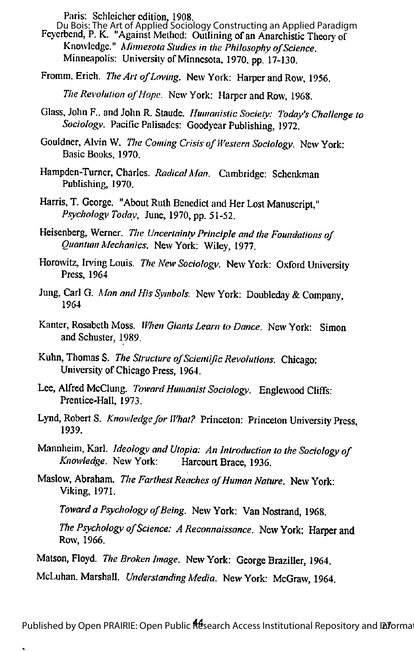Paris: Schlcichcr edition, 1908.

- Feyerbcnd, P. K. "Against Method: Outlining ofan Anarchistic Theory of Du Bois: The Art of Applied Sociology Constructing an Applied Paradigm Knowledge." Minnesota Studies in the Philosophy of Science. Minneapolis: University of Minnesota, 1970, pp. 17-130.
- Fromm. Erich. The Art of Loving. New York: Harper and Row, 1956.

The Revolution of Hope. New York: Harper and Row, 1968.

- Glass, John F., and John R. Staude. Humanistic Society: Today's Challenge to Sociology. Pacific Palisades: Goodycar Publishing, 1972.
- Gouldner, Alvin W. The Coming Crisis of Western Sociology. New York: Basic Books, 1970.
- Hampden-Turner, Charles. Radical Man. Cambridge: Schenkman Publishing, 1970.
- Harris, T. George. "About Ruth Benedict and Her Lost Manuscript," Psychology Today, June, 1970, pp. 51-52.
- Heisenberg, Werner. The Uncertainty Principle and the Foundations of Quantum Mechanics. New York: Wiley, 1977,
- Horowitz, Irving Louis. The New Sociology. New York: Oxford University Press, 1964
- Jung, Carl G. Man and His Symbols. New York: Doubleday & Company, 1964
- Kanter, Rosabeth Moss. When Giants Learn to Dance. New York: Simon and Schuster, 1989.
- Kuhn, Thomas S. The Structure of Scientific Revolutions. Chicago: University of Chicago Press, 1964.
- Lee, Alfred McClung. Toward Humanist Sociology. Englewood Cliffs: Prentice-Hall, 1973.
- Lynd, Robert S. Knowledge for What? Princeton: Princeton University Press, 1939.
- Mannheim, Karl. Ideology and Utopia: An Introduction to the Sociology of Knowledge. NewYork: Harcourt Brace, 1936.
- Maslow, Abraham. The Farthest Reaches of Human Nature. New York: Viking, 1971.

Toward a Psychology of Being. New York: Van Nostrand, 1968.

The Psychology of Science: A Reconnaissance. New York: Harper and Row, 1966.

Matson, Floyd. The Broken Image. New York: George Braziller, 1964.

McLuhan, Marshall. Understanding Media. New York: McGraw, 1964.

Published by Open PRAIRIE: Open Public Research Access Institutional Repository and Informat